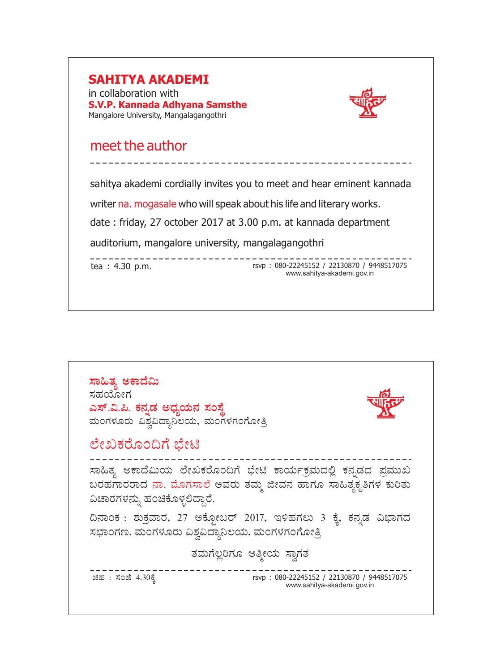## **SAHITYA AKADEMI** in collaboration with **S.V.P. Kannada Adhyana Samsthe** Mangalore University, Mangalagangothri meet the author sahitya akademi cordially invites you to meet and hear eminent kannada writer na. mogasale who will speak about his life and literary works. date : friday, 27 october 2017 at 3.00 p.m. at kannada department auditorium, mangalore university, mangalagangothri ----------------tea : 4.30 p.m. external rsvp : 080-22245152 / 22130870 / 9448517075 www.sahitya-akademi.gov.in